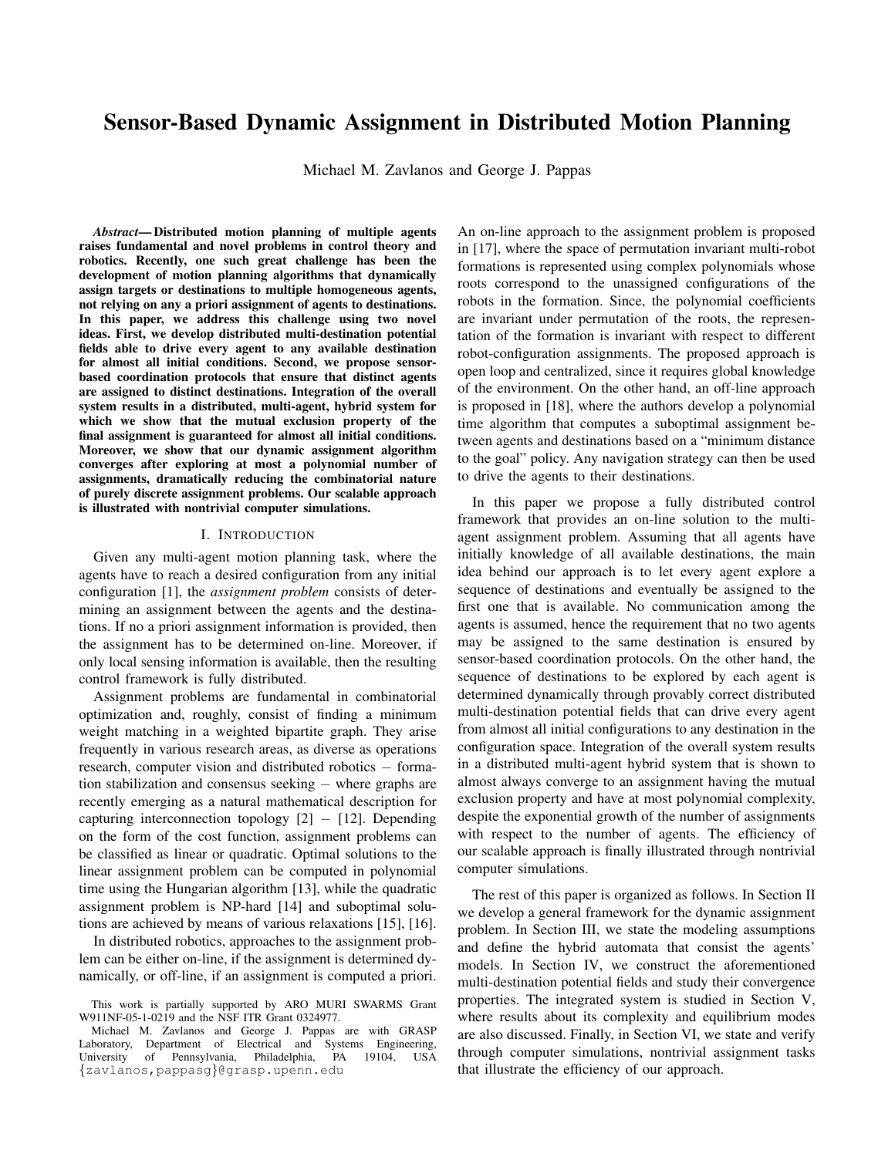# Sensor-Based Dynamic Assignment in Distributed Motion Planning

Michael M. Zavlanos and George J. Pappas

*Abstract*— Distributed motion planning of multiple agents raises fundamental and novel problems in control theory and robotics. Recently, one such great challenge has been the development of motion planning algorithms that dynamically assign targets or destinations to multiple homogeneous agents, not relying on any a priori assignment of agents to destinations. In this paper, we address this challenge using two novel ideas. First, we develop distributed multi-destination potential fields able to drive every agent to any available destination for almost all initial conditions. Second, we propose sensorbased coordination protocols that ensure that distinct agents are assigned to distinct destinations. Integration of the overall system results in a distributed, multi-agent, hybrid system for which we show that the mutual exclusion property of the final assignment is guaranteed for almost all initial conditions. Moreover, we show that our dynamic assignment algorithm converges after exploring at most a polynomial number of assignments, dramatically reducing the combinatorial nature of purely discrete assignment problems. Our scalable approach is illustrated with nontrivial computer simulations.

### I. INTRODUCTION

Given any multi-agent motion planning task, where the agents have to reach a desired configuration from any initial configuration [1], the *assignment problem* consists of determining an assignment between the agents and the destinations. If no a priori assignment information is provided, then the assignment has to be determined on-line. Moreover, if only local sensing information is available, then the resulting control framework is fully distributed.

Assignment problems are fundamental in combinatorial optimization and, roughly, consist of finding a minimum weight matching in a weighted bipartite graph. They arise frequently in various research areas, as diverse as operations research, computer vision and distributed robotics − formation stabilization and consensus seeking − where graphs are recently emerging as a natural mathematical description for capturing interconnection topology  $[2] - [12]$ . Depending on the form of the cost function, assignment problems can be classified as linear or quadratic. Optimal solutions to the linear assignment problem can be computed in polynomial time using the Hungarian algorithm [13], while the quadratic assignment problem is NP-hard [14] and suboptimal solutions are achieved by means of various relaxations [15], [16].

In distributed robotics, approaches to the assignment problem can be either on-line, if the assignment is determined dynamically, or off-line, if an assignment is computed a priori. An on-line approach to the assignment problem is proposed in [17], where the space of permutation invariant multi-robot formations is represented using complex polynomials whose roots correspond to the unassigned configurations of the robots in the formation. Since, the polynomial coefficients are invariant under permutation of the roots, the representation of the formation is invariant with respect to different robot-configuration assignments. The proposed approach is open loop and centralized, since it requires global knowledge of the environment. On the other hand, an off-line approach is proposed in [18], where the authors develop a polynomial time algorithm that computes a suboptimal assignment between agents and destinations based on a "minimum distance to the goal" policy. Any navigation strategy can then be used to drive the agents to their destinations.

In this paper we propose a fully distributed control framework that provides an on-line solution to the multiagent assignment problem. Assuming that all agents have initially knowledge of all available destinations, the main idea behind our approach is to let every agent explore a sequence of destinations and eventually be assigned to the first one that is available. No communication among the agents is assumed, hence the requirement that no two agents may be assigned to the same destination is ensured by sensor-based coordination protocols. On the other hand, the sequence of destinations to be explored by each agent is determined dynamically through provably correct distributed multi-destination potential fields that can drive every agent from almost all initial configurations to any destination in the configuration space. Integration of the overall system results in a distributed multi-agent hybrid system that is shown to almost always converge to an assignment having the mutual exclusion property and have at most polynomial complexity, despite the exponential growth of the number of assignments with respect to the number of agents. The efficiency of our scalable approach is finally illustrated through nontrivial computer simulations.

The rest of this paper is organized as follows. In Section II we develop a general framework for the dynamic assignment problem. In Section III, we state the modeling assumptions and define the hybrid automata that consist the agents' models. In Section IV, we construct the aforementioned multi-destination potential fields and study their convergence properties. The integrated system is studied in Section V, where results about its complexity and equilibrium modes are also discussed. Finally, in Section VI, we state and verify through computer simulations, nontrivial assignment tasks that illustrate the efficiency of our approach.

This work is partially supported by ARO MURI SWARMS Grant W911NF-05-1-0219 and the NSF ITR Grant 0324977.

Michael M. Zavlanos and George J. Pappas are with GRASP Laboratory, Department of Electrical and Systems Engineering, University of Pennsylvania, Philadelphia, PA 19104, USA {zavlanos,pappasg}@grasp.upenn.edu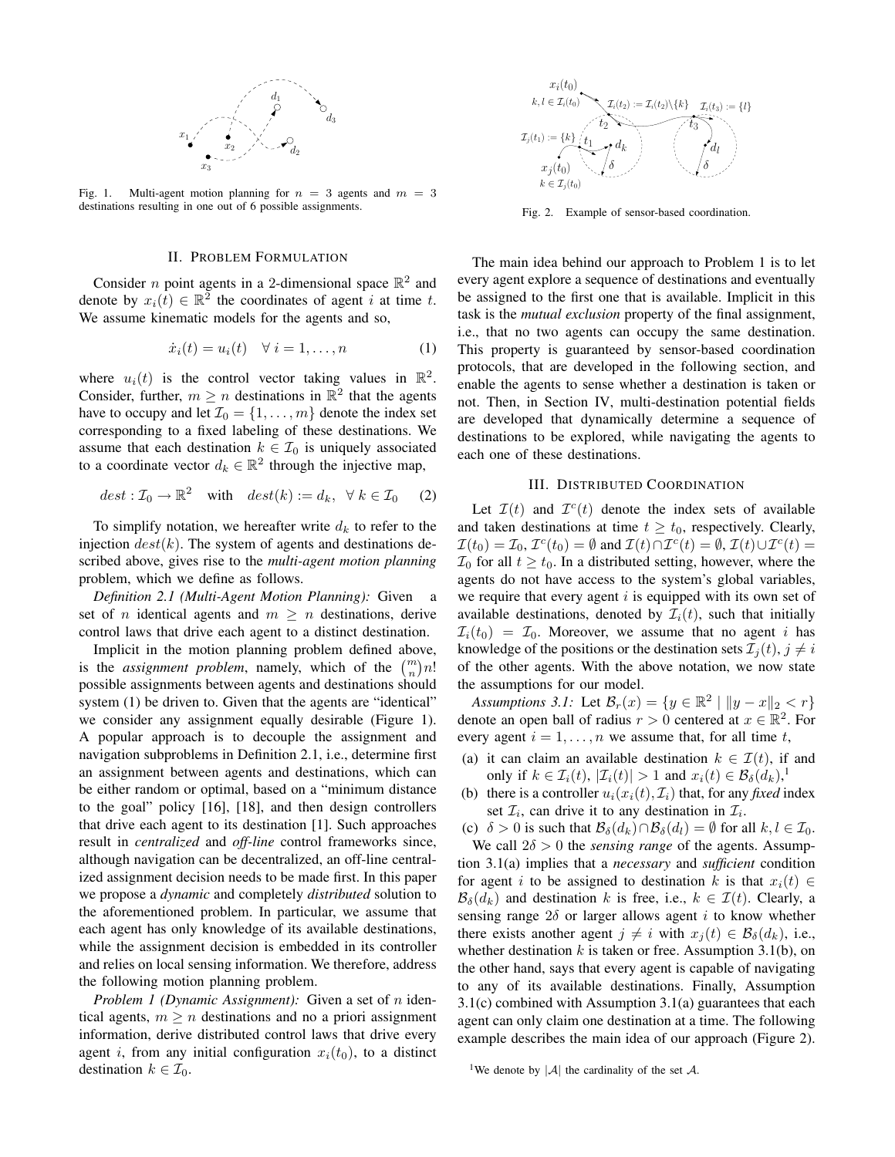

Fig. 1. Multi-agent motion planning for  $n = 3$  agents and  $m = 3$ destinations resulting in one out of 6 possible assignments.

# II. PROBLEM FORMULATION

Consider *n* point agents in a 2-dimensional space  $\mathbb{R}^2$  and denote by  $x_i(t) \in \mathbb{R}^2$  the coordinates of agent i at time t. We assume kinematic models for the agents and so,

$$
\dot{x}_i(t) = u_i(t) \quad \forall \ i = 1, \dots, n \tag{1}
$$

where  $u_i(t)$  is the control vector taking values in  $\mathbb{R}^2$ . Consider, further,  $m \geq n$  destinations in  $\mathbb{R}^2$  that the agents have to occupy and let  $\mathcal{I}_0 = \{1, \ldots, m\}$  denote the index set corresponding to a fixed labeling of these destinations. We assume that each destination  $k \in \mathcal{I}_0$  is uniquely associated to a coordinate vector  $d_k \in \mathbb{R}^2$  through the injective map,

$$
dest: \mathcal{I}_0 \to \mathbb{R}^2
$$
 with  $dest(k) := d_k, \forall k \in \mathcal{I}_0$  (2)

To simplify notation, we hereafter write  $d_k$  to refer to the injection  $dest(k)$ . The system of agents and destinations described above, gives rise to the *multi-agent motion planning* problem, which we define as follows.

*Definition 2.1 (Multi-Agent Motion Planning):* Given a set of *n* identical agents and  $m \geq n$  destinations, derive control laws that drive each agent to a distinct destination.

Implicit in the motion planning problem defined above, implicit in the motion planning problem defined above,<br>is the *assignment problem*, namely, which of the  $\binom{m}{n}n!$ possible assignments between agents and destinations should system (1) be driven to. Given that the agents are "identical" we consider any assignment equally desirable (Figure 1). A popular approach is to decouple the assignment and navigation subproblems in Definition 2.1, i.e., determine first an assignment between agents and destinations, which can be either random or optimal, based on a "minimum distance to the goal" policy [16], [18], and then design controllers that drive each agent to its destination [1]. Such approaches result in *centralized* and *off-line* control frameworks since, although navigation can be decentralized, an off-line centralized assignment decision needs to be made first. In this paper we propose a *dynamic* and completely *distributed* solution to the aforementioned problem. In particular, we assume that each agent has only knowledge of its available destinations, while the assignment decision is embedded in its controller and relies on local sensing information. We therefore, address the following motion planning problem.

*Problem 1 (Dynamic Assignment):* Given a set of *n* identical agents,  $m > n$  destinations and no a priori assignment information, derive distributed control laws that drive every agent i, from any initial configuration  $x_i(t_0)$ , to a distinct destination  $k \in \mathcal{I}_0$ .



Fig. 2. Example of sensor-based coordination.

The main idea behind our approach to Problem 1 is to let every agent explore a sequence of destinations and eventually be assigned to the first one that is available. Implicit in this task is the *mutual exclusion* property of the final assignment, i.e., that no two agents can occupy the same destination. This property is guaranteed by sensor-based coordination protocols, that are developed in the following section, and enable the agents to sense whether a destination is taken or not. Then, in Section IV, multi-destination potential fields are developed that dynamically determine a sequence of destinations to be explored, while navigating the agents to each one of these destinations.

## III. DISTRIBUTED COORDINATION

Let  $\mathcal{I}(t)$  and  $\mathcal{I}^{c}(t)$  denote the index sets of available and taken destinations at time  $t \geq t_0$ , respectively. Clearly,  $\mathcal{I}(t_0) = \mathcal{I}_0, \mathcal{I}^c(t_0) = \emptyset$  and  $\mathcal{I}(t) \cap \mathcal{I}^c(t) = \emptyset, \mathcal{I}(t) \cup \mathcal{I}^c(t) = \emptyset$  $\mathcal{I}_0$  for all  $t \geq t_0$ . In a distributed setting, however, where the agents do not have access to the system's global variables, we require that every agent  $i$  is equipped with its own set of available destinations, denoted by  $\mathcal{I}_i(t)$ , such that initially  $\mathcal{I}_i(t_0) = \mathcal{I}_0$ . Moreover, we assume that no agent i has knowledge of the positions or the destination sets  $\mathcal{I}_j(t), j \neq i$ of the other agents. With the above notation, we now state the assumptions for our model.

*Assumptions 3.1:* Let  $\mathcal{B}_r(x) = \{ y \in \mathbb{R}^2 \mid ||y - x||_2 < r \}$ denote an open ball of radius  $r > 0$  centered at  $x \in \mathbb{R}^2$ . For every agent  $i = 1, \ldots, n$  we assume that, for all time t,

- (a) it can claim an available destination  $k \in \mathcal{I}(t)$ , if and only if  $k \in \mathcal{I}_i(t)$ ,  $|\mathcal{I}_i(t)| > 1$  and  $x_i(t) \in \mathcal{B}_{\delta}(d_k)$ ,<sup>1</sup>
- (b) there is a controller  $u_i(x_i(t), \mathcal{I}_i)$  that, for any *fixed* index set  $\mathcal{I}_i$ , can drive it to any destination in  $\mathcal{I}_i$ .

(c) 
$$
\delta > 0
$$
 is such that  $\mathcal{B}_{\delta}(d_k) \cap \mathcal{B}_{\delta}(d_l) = \emptyset$  for all  $k, l \in \mathcal{I}_0$ .

We call  $2\delta > 0$  the *sensing range* of the agents. Assumption 3.1(a) implies that a *necessary* and *sufficient* condition for agent i to be assigned to destination k is that  $x_i(t) \in$  $\mathcal{B}_{\delta}(d_k)$  and destination k is free, i.e.,  $k \in \mathcal{I}(t)$ . Clearly, a sensing range  $2\delta$  or larger allows agent i to know whether there exists another agent  $j \neq i$  with  $x_i(t) \in \mathcal{B}_{\delta}(d_k)$ , i.e., whether destination  $k$  is taken or free. Assumption 3.1(b), on the other hand, says that every agent is capable of navigating to any of its available destinations. Finally, Assumption 3.1(c) combined with Assumption 3.1(a) guarantees that each agent can only claim one destination at a time. The following example describes the main idea of our approach (Figure 2).

<sup>&</sup>lt;sup>1</sup>We denote by  $|\mathcal{A}|$  the cardinality of the set  $\mathcal{A}$ .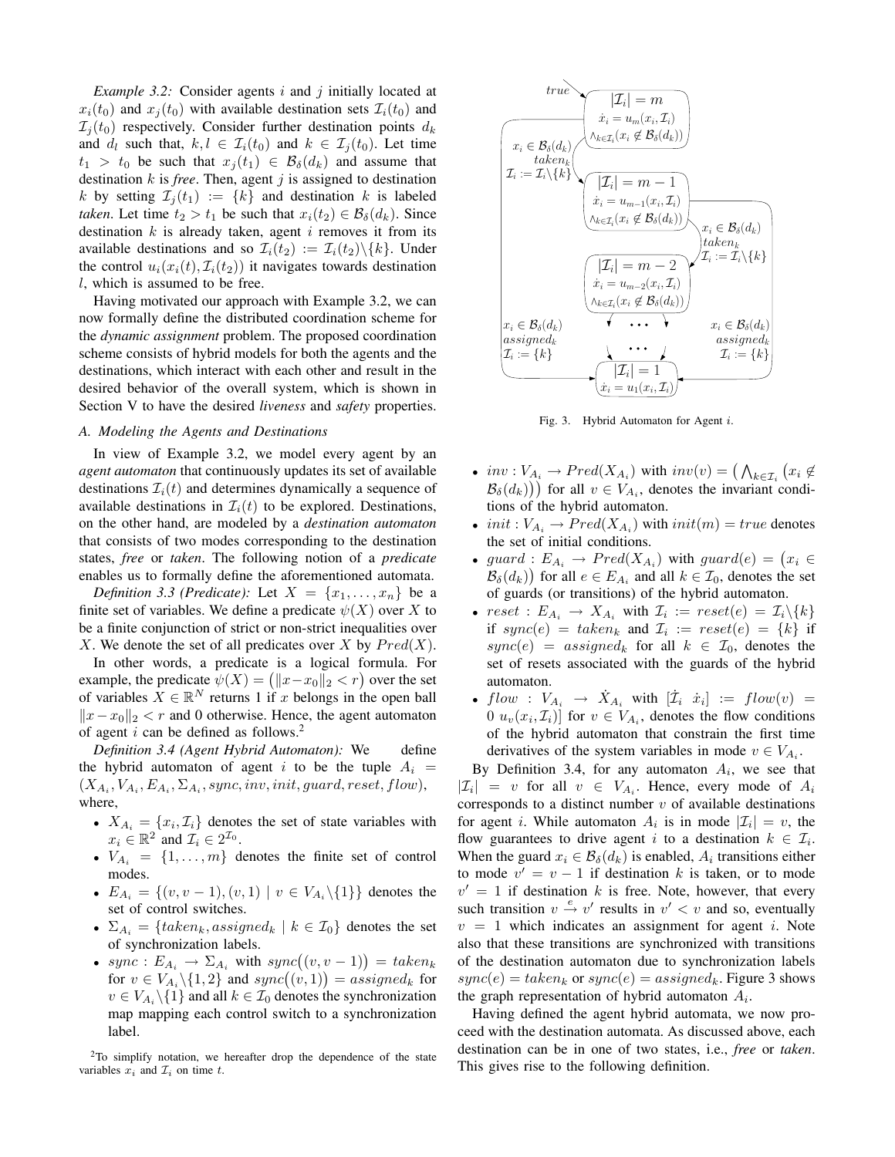*Example 3.2:* Consider agents i and j initially located at  $x_i(t_0)$  and  $x_i(t_0)$  with available destination sets  $\mathcal{I}_i(t_0)$  and  $\mathcal{I}_j(t_0)$  respectively. Consider further destination points  $d_k$ and  $d_l$  such that,  $k, l \in \mathcal{I}_i(t_0)$  and  $k \in \mathcal{I}_j(t_0)$ . Let time  $t_1 > t_0$  be such that  $x_j(t_1) \in \mathcal{B}_{\delta}(d_k)$  and assume that destination  $k$  is *free*. Then, agent  $j$  is assigned to destination k by setting  $\mathcal{I}_i(t_1) := \{k\}$  and destination k is labeled *taken*. Let time  $t_2 > t_1$  be such that  $x_i(t_2) \in \mathcal{B}_{\delta}(d_k)$ . Since destination  $k$  is already taken, agent  $i$  removes it from its available destinations and so  $\mathcal{I}_i(t_2) := \mathcal{I}_i(t_2) \setminus \{k\}$ . Under the control  $u_i(x_i(t), \mathcal{I}_i(t_2))$  it navigates towards destination l, which is assumed to be free.

Having motivated our approach with Example 3.2, we can now formally define the distributed coordination scheme for the *dynamic assignment* problem. The proposed coordination scheme consists of hybrid models for both the agents and the destinations, which interact with each other and result in the desired behavior of the overall system, which is shown in Section V to have the desired *liveness* and *safety* properties.

# *A. Modeling the Agents and Destinations*

In view of Example 3.2, we model every agent by an *agent automaton* that continuously updates its set of available destinations  $\mathcal{I}_i(t)$  and determines dynamically a sequence of available destinations in  $\mathcal{I}_i(t)$  to be explored. Destinations, on the other hand, are modeled by a *destination automaton* that consists of two modes corresponding to the destination states, *free* or *taken*. The following notion of a *predicate* enables us to formally define the aforementioned automata.

*Definition 3.3 (Predicate):* Let  $X = \{x_1, \ldots, x_n\}$  be a finite set of variables. We define a predicate  $\psi(X)$  over X to be a finite conjunction of strict or non-strict inequalities over X. We denote the set of all predicates over X by  $Pred(X)$ .

In other words, a predicate is a logical formula. For In other words, a predicate is a logical formula. For<br>example, the predicate  $\psi(X) = (\|x - x_0\|_2 < r)$  over the set of variables  $X \in \mathbb{R}^N$  returns 1 if x belongs in the open ball  $||x-x_0||_2 < r$  and 0 otherwise. Hence, the agent automaton of agent i can be defined as follows.<sup>2</sup>

*Definition 3.4 (Agent Hybrid Automaton):* We define the hybrid automaton of agent i to be the tuple  $A_i$  =  $(X_{A_i}, V_{A_i}, E_{A_i}, \Sigma_{A_i}, sync, inv, init, guard, reset, flow),$ where,

- $X_{A_i} = \{x_i, \mathcal{I}_i\}$  denotes the set of state variables with  $x_i \in \mathbb{R}^2$  and  $\mathcal{I}_i \in 2^{\mathcal{I}_0}$ .
- $V_{A_i} = \{1, \ldots, m\}$  denotes the finite set of control modes.
- $E_{A_i} = \{(v, v 1), (v, 1) \mid v \in V_{A_i} \setminus \{1\}\}\)$  denotes the set of control switches.
- $\Sigma_{A_i} = \{taken_k, assigned_k \mid k \in \mathcal{I}_0\}$  denotes the set of synchronization labels.
- sync :  $E_{A_i} \rightarrow \Sigma_{A_i}$  with  $sync((v, v 1)) = taken_k$  $sync : E_{A_i} \rightarrow \Sigma_{A_i}$  with  $sync((v, v - 1)) = taken_k$ <br>for  $v \in V_{A_i} \setminus \{1, 2\}$  and  $sync((v, 1)) = assigned_k$  for  $v \in V_{A_i} \backslash \{1\}$  and all  $k \in \mathcal{I}_0$  denotes the synchronization map mapping each control switch to a synchronization label.





Fig. 3. Hybrid Automaton for Agent i.

- $inv: V_{A_i} \to Pred(X_{A_i})$  with  $inv(v) = (\bigwedge_{k \in \mathcal{I}_i}$ ¡  $x_i \notin$  $\mathcal{B}_{\delta}(d_k)$ ) for all  $v \in V_{A_i}$ , denotes the invariant conditions of the hybrid automaton.
- *init* :  $V_{A_i} \rightarrow Pred(X_{A_i})$  with  $init(m) = true$  denotes the set of initial conditions.
- guard :  $E_{A_i} \rightarrow Pred(X_{A_i})$  with guard(e) =  $(x_i \in \mathcal{E}_i)$  $(\mathcal{B}_{\delta}(d_k))$  for all  $e \in E_{A_i}$  and all  $k \in \mathcal{I}_0$ , denotes the set of guards (or transitions) of the hybrid automaton.
- $reset : E_{A_i} \rightarrow X_{A_i}$  with  $\mathcal{I}_i := reset(e) = \mathcal{I}_i \backslash \{k\}$ if  $sync(e) = taken_k$  and  $\mathcal{I}_i := reset(e) = \{k\}$  if  $sync(e) = assigned_k$  for all  $k \in \mathcal{I}_0$ , denotes the set of resets associated with the guards of the hybrid automaton.
- $flow : V_{A_i} \rightarrow \dot{X}_{A_i}$  with  $[\dot{\mathcal{I}}_i \dot{x}_i] := flow(v) =$ 0  $u_v(x_i, \mathcal{I}_i)$  for  $v \in V_{A_i}$ , denotes the flow conditions of the hybrid automaton that constrain the first time derivatives of the system variables in mode  $v \in V_{A_i}$ .

By Definition 3.4, for any automaton  $A_i$ , we see that  $|{\cal I}_i|$  = v for all  $v \in V_{A_i}$ . Hence, every mode of  $A_i$ corresponds to a distinct number  $v$  of available destinations for agent *i*. While automaton  $A_i$  is in mode  $|\mathcal{I}_i| = v$ , the flow guarantees to drive agent i to a destination  $k \in \mathcal{I}_i$ . When the guard  $x_i \in \mathcal{B}_{\delta}(d_k)$  is enabled,  $A_i$  transitions either to mode  $v' = v - 1$  if destination k is taken, or to mode  $v' = 1$  if destination k is free. Note, however, that every such transition  $v \stackrel{e}{\rightarrow} v'$  results in  $v' < v$  and so, eventually  $v = 1$  which indicates an assignment for agent *i*. Note also that these transitions are synchronized with transitions of the destination automaton due to synchronization labels  $sync(e) = taken_k$  or  $sync(e) = assigned_k$ . Figure 3 shows the graph representation of hybrid automaton  $A_i$ .

Having defined the agent hybrid automata, we now proceed with the destination automata. As discussed above, each destination can be in one of two states, i.e., *free* or *taken*. This gives rise to the following definition.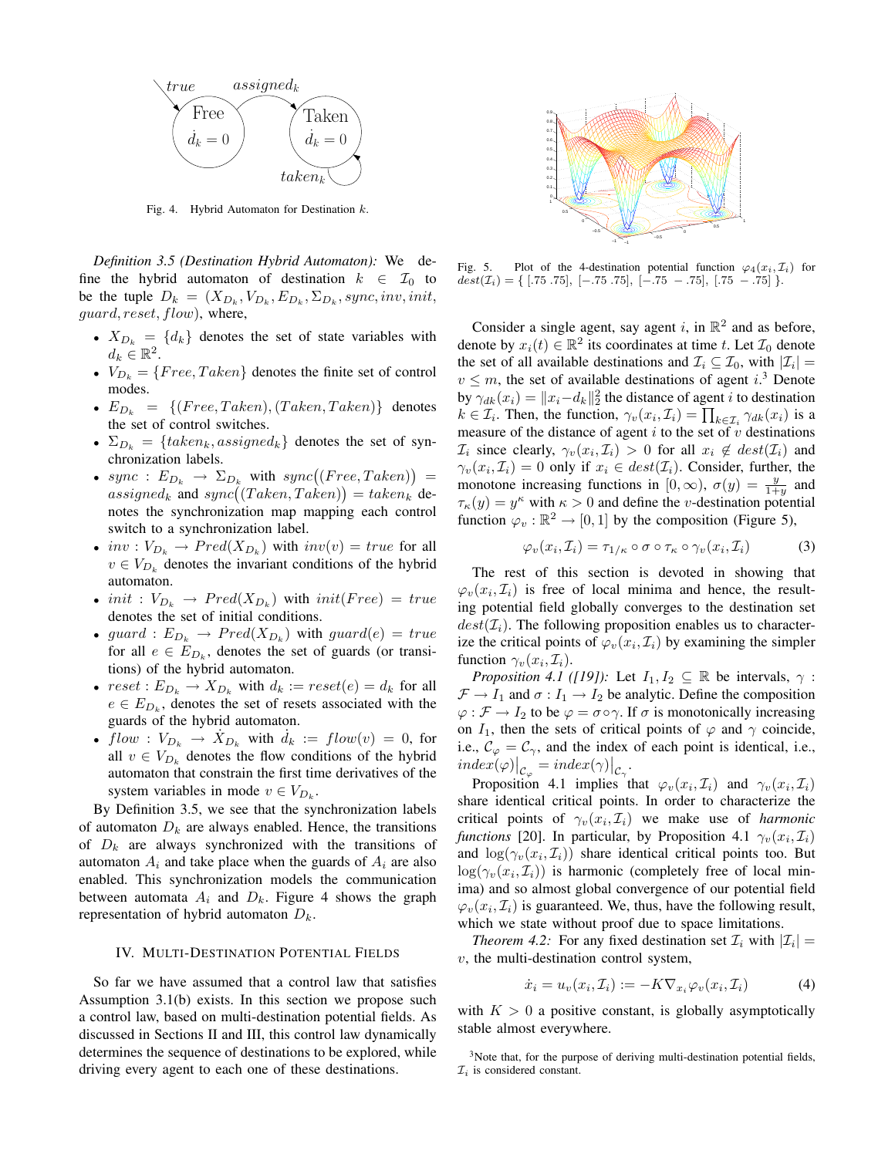

Fig. 4. Hybrid Automaton for Destination k.

*Definition 3.5 (Destination Hybrid Automaton):* We define the hybrid automaton of destination  $k \in \mathcal{I}_0$  to be the tuple  $D_k = (X_{D_k}, V_{D_k}, E_{D_k}, \Sigma_{D_k}, sync, inv, init,$ guard, reset, flow), where,

- $X_{D_k} = \{d_k\}$  denotes the set of state variables with  $d_k \in \mathbb{R}^2$ .
- $V_{D_k} = \{Free, Taken\}$  denotes the finite set of control modes.
- $E_{D_k} = \{ (Free, Taken), (Taken, Taken) \}$  denotes the set of control switches.
- $\Sigma_{D_k} = \{taken_k, assigned_k\}$  denotes the set of synchronization labels. ¢
- chronization labels.<br>• sync :  $E_{D_k} \rightarrow \Sigma_{D_k}$  with sync((Free, Taken)  $\left( \begin{array}{c} \epsilon e, Taken) \end{array} \right)$  =  $\begin{array}{l} \textit{sync}: \; E_{D_k} \; \rightarrow \; \Delta_{D_k} \; \; \text{with} \; \; \textit{sync}((\textit{Free}, \textit{I}\; \textit{aken})) = \textit{assigned}_k \; \text{and} \; \textit{sync}((\textit{Taken}, \textit{Taken})) = \textit{taken}_k \; \text{de-} \end{array}$ notes the synchronization map mapping each control switch to a synchronization label.
- $inv: V_{D_k} \to Pred(X_{D_k})$  with  $inv(v) = true$  for all  $v \in V_{D_k}$  denotes the invariant conditions of the hybrid automaton.
- init :  $V_{D_k} \rightarrow Pred(X_{D_k})$  with  $init(Free) = true$ denotes the set of initial conditions.
- guard :  $E_{D_k} \rightarrow Pred(X_{D_k})$  with guard(e) = true for all  $e \in E_{D_k}$ , denotes the set of guards (or transitions) of the hybrid automaton.
- $reset : E_{D_k} \to X_{D_k}$  with  $d_k := reset(e) = d_k$  for all  $e \in E_{D_k}$ , denotes the set of resets associated with the guards of the hybrid automaton.
- $flow: V_{D_k} \rightarrow \dot{X}_{D_k}$  with  $\dot{d}_k := flow(v) = 0$ , for all  $v \in V_{D_k}$  denotes the flow conditions of the hybrid automaton that constrain the first time derivatives of the system variables in mode  $v \in V_{D_k}$ .

By Definition 3.5, we see that the synchronization labels of automaton  $D_k$  are always enabled. Hence, the transitions of  $D_k$  are always synchronized with the transitions of automaton  $A_i$  and take place when the guards of  $A_i$  are also enabled. This synchronization models the communication between automata  $A_i$  and  $D_k$ . Figure 4 shows the graph representation of hybrid automaton  $D_k$ .

# IV. MULTI-DESTINATION POTENTIAL FIELDS

So far we have assumed that a control law that satisfies Assumption 3.1(b) exists. In this section we propose such a control law, based on multi-destination potential fields. As discussed in Sections II and III, this control law dynamically determines the sequence of destinations to be explored, while driving every agent to each one of these destinations.



Fig. 5. Plot of the 4-destination potential function  $\varphi_4(x_i, \mathcal{I}_i)$  for  $dest(\mathcal{I}_i) = \{ [.75 \ .75], [-.75 \ .75], [-.75 \ -.75], [.75 \ -.75] \}.$ 

Consider a single agent, say agent i, in  $\mathbb{R}^2$  and as before, denote by  $x_i(t) \in \mathbb{R}^2$  its coordinates at time t. Let  $\mathcal{I}_0$  denote the set of all available destinations and  $\mathcal{I}_i \subseteq \mathcal{I}_0$ , with  $|\mathcal{I}_i| =$  $v \leq m$ , the set of available destinations of agent i.<sup>3</sup> Denote by  $\gamma_{dk}(x_i) = ||x_i - d_k||_2^2$  the distance of agent *i* to destination by  $\gamma_{dk}(x_i) = ||x_i - a_k||_2$  the distance of agent *i* to destination  $k \in \mathcal{I}_i$ . Then, the function,  $\gamma_v(x_i, \mathcal{I}_i) = \prod_{k \in \mathcal{I}_i} \gamma_{dk}(x_i)$  is a measure of the distance of agent  $i$  to the set of  $v$  destinations  $\mathcal{I}_i$  since clearly,  $\gamma_v(x_i, \mathcal{I}_i) > 0$  for all  $x_i \notin dest(\mathcal{I}_i)$  and  $\gamma_v(x_i, \mathcal{I}_i) = 0$  only if  $x_i \in dest(\mathcal{I}_i)$ . Consider, further, the monotone increasing functions in  $[0, \infty)$ ,  $\sigma(y) = \frac{y}{1+y}$  and  $\tau_{\kappa}(y) = y^{\kappa}$  with  $\kappa > 0$  and define the *v*-destination potential function  $\varphi_v : \mathbb{R}^2 \to [0, 1]$  by the composition (Figure 5),

$$
\varphi_v(x_i, \mathcal{I}_i) = \tau_{1/\kappa} \circ \sigma \circ \tau_\kappa \circ \gamma_v(x_i, \mathcal{I}_i)
$$
 (3)

The rest of this section is devoted in showing that  $\varphi_v(x_i, \mathcal{I}_i)$  is free of local minima and hence, the resulting potential field globally converges to the destination set  $dest(\mathcal{I}_i)$ . The following proposition enables us to characterize the critical points of  $\varphi_v(x_i, \mathcal{I}_i)$  by examining the simpler function  $\gamma_v(x_i, \mathcal{I}_i)$ .

*Proposition 4.1 ([19]):* Let  $I_1, I_2 \subseteq \mathbb{R}$  be intervals,  $\gamma$ :  $\mathcal{F} \to I_1$  and  $\sigma : I_1 \to I_2$  be analytic. Define the composition  $\varphi : \mathcal{F} \to I_2$  to be  $\varphi = \sigma \circ \gamma$ . If  $\sigma$  is monotonically increasing on  $I_1$ , then the sets of critical points of  $\varphi$  and  $\gamma$  coincide, i.e.,  $\mathcal{C}_{\varphi} = \mathcal{C}_{\gamma}$ , and the index of each point is identical, i.e.,  $index(\varphi)|_{\mathcal{C}_{\varphi}} = index(\gamma)|_{\mathcal{C}_{\gamma}}.$ 

Proposition 4.1 implies that  $\varphi_v(x_i, \mathcal{I}_i)$  and  $\gamma_v(x_i, \mathcal{I}_i)$ share identical critical points. In order to characterize the critical points of  $\gamma_v(x_i, \mathcal{I}_i)$  we make use of *harmonic functions* [20]. In particular, by Proposition 4.1  $\gamma_v(x_i, \mathcal{I}_i)$ and  $\log(\gamma_v(x_i, \mathcal{I}_i))$  share identical critical points too. But  $log(\gamma_v(x_i, \mathcal{I}_i))$  is harmonic (completely free of local minima) and so almost global convergence of our potential field  $\varphi_v(x_i, \mathcal{I}_i)$  is guaranteed. We, thus, have the following result, which we state without proof due to space limitations.

*Theorem 4.2:* For any fixed destination set  $\mathcal{I}_i$  with  $|\mathcal{I}_i|$  =  $v$ , the multi-destination control system,

$$
\dot{x}_i = u_v(x_i, \mathcal{I}_i) := -K \nabla_{x_i} \varphi_v(x_i, \mathcal{I}_i)
$$
(4)

with  $K > 0$  a positive constant, is globally asymptotically stable almost everywhere.

<sup>&</sup>lt;sup>3</sup>Note that, for the purpose of deriving multi-destination potential fields,  $\mathcal{I}_i$  is considered constant.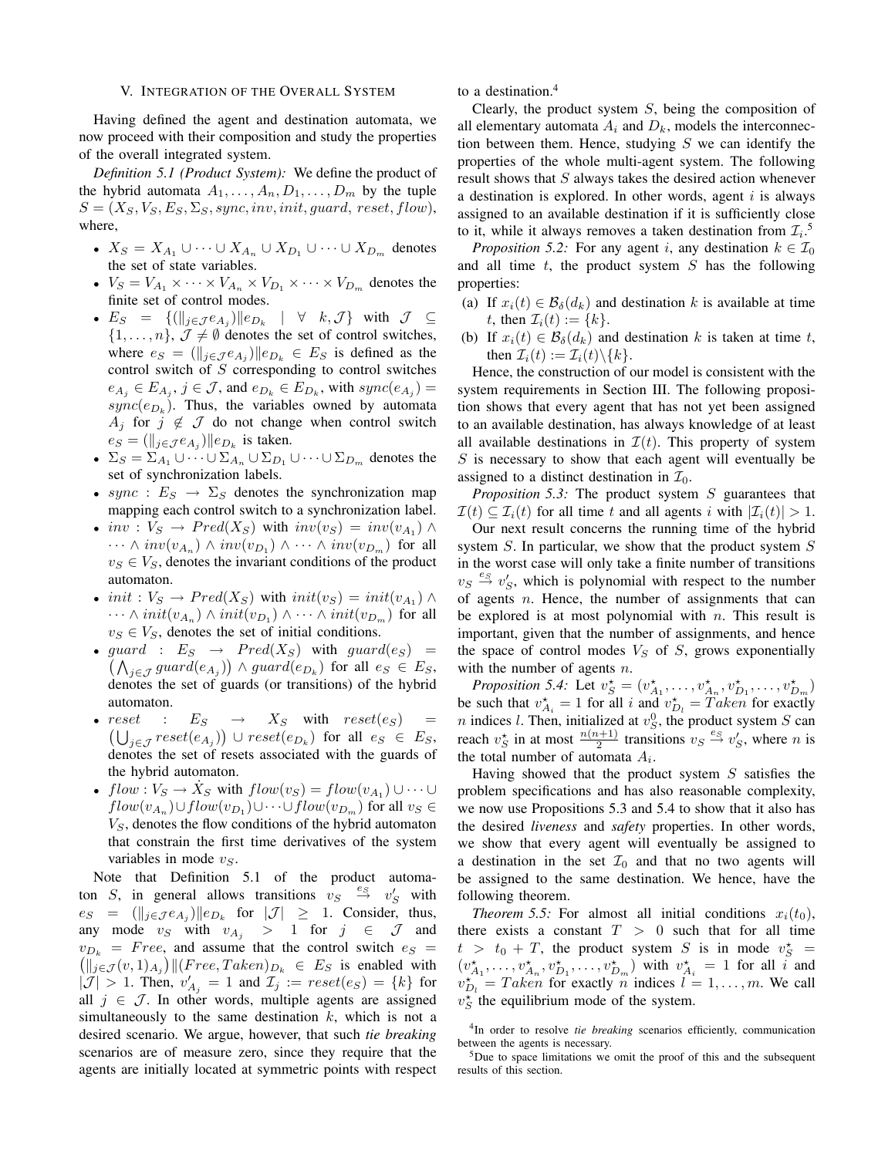## V. INTEGRATION OF THE OVERALL SYSTEM

Having defined the agent and destination automata, we now proceed with their composition and study the properties of the overall integrated system.

*Definition 5.1 (Product System):* We define the product of the hybrid automata  $A_1, \ldots, A_n, D_1, \ldots, D_m$  by the tuple  $S = (X_S, V_S, E_S, \Sigma_S, sync, inv, init, guard, reset, flow),$ where,

- $X_S = X_{A_1} \cup \cdots \cup X_{A_n} \cup X_{D_1} \cup \cdots \cup X_{D_m}$  denotes the set of state variables.
- $V_S = V_{A_1} \times \cdots \times V_{A_n} \times V_{D_1} \times \cdots \times V_{D_m}$  denotes the finite set of control modes.
- $E_S = \{ (\|_{j \in \mathcal{J}} e_{A_j}) \| e_{D_k} \mid \forall k, \mathcal{J} \}$  with  $\mathcal{J} \subseteq$  $\{1,\ldots,n\},\,\mathcal{J}\neq\emptyset$  denotes the set of control switches, where  $e_S = (\|_{j \in \mathcal{J}} e_{A_j}) \| e_{D_k} \in E_S$  is defined as the control switch of  $S$  corresponding to control switches  $e_{A_j} \in E_{A_j}, j \in \mathcal{J}$ , and  $e_{D_k} \in E_{D_k}$ , with  $sync(e_{A_j}) =$  $sync(e_{D_k})$ . Thus, the variables owned by automata  $A_j$  for  $j \notin \mathcal{J}$  do not change when control switch  $e_S = (\|_{j \in \mathcal{J}} e_{A_j}) \| e_{D_k}$  is taken.
- $\Sigma_S = \Sigma_{A_1} \cup \cdots \cup \Sigma_{A_n} \cup \Sigma_{D_1} \cup \cdots \cup \Sigma_{D_m}$  denotes the set of synchronization labels.
- sync :  $E_S \rightarrow \Sigma_S$  denotes the synchronization map mapping each control switch to a synchronization label.
- $inv: V_S \rightarrow Pred(X_S)$  with  $inv(v_S) = inv(v_{A_1}) \wedge$  $\cdots \wedge inv(v_{A_n}) \wedge inv(v_{D_1}) \wedge \cdots \wedge inv(v_{D_m})$  for all  $v_S \in V_S$ , denotes the invariant conditions of the product automaton.
- *init* :  $V_S \rightarrow Pred(X_S)$  with  $init(v_S) = init(v_{A_1}) \land$  $\cdots \wedge init(v_{A_n}) \wedge init(v_{D_1}) \wedge \cdots \wedge init(v_{D_m})$  for all  $v_S \in V_S$ , denotes the set of initial conditions.
- guard :  $E_S \rightarrow Pred(X_S)$  with guard $(e_S)$  =  $\mathcal{E}_{j\in\mathcal{J}}\mathit{guard}(e_{A_j})\big)\land\mathit{guard}(e_{D_k})\,\text{ for all }\,e_S\,\in\,E_S,$ denotes the set of guards (or transitions) of the hybrid automaton.
- $reset$  :  $E_S \rightarrow X_S$  with  $reset(e_S)$  =  $\bullet$  reset  $\mathcal{L}_{j\in\mathcal{J}} \, reset(e_{A_j})\big) \cup \, reset(e_{D_k}) \, \text{ for all } \, e_S \; \in \; E_S,$ denotes the set of resets associated with the guards of the hybrid automaton.
- $flow: V_S \to \dot{X}_S$  with  $flow(v_S) = flow(v_{A_1}) \cup \cdots \cup$  $flow(v_{A_n}) \cup flow(v_{D_1}) \cup \cdots \cup flow(v_{D_m})$  for all  $v_S \in$  $V<sub>S</sub>$ , denotes the flow conditions of the hybrid automaton that constrain the first time derivatives of the system variables in mode  $v<sub>S</sub>$ .

Note that Definition 5.1 of the product automaton *S*, in general allows transitions  $v_S \stackrel{e_S}{\rightarrow} v_S'$  with  $e_S = (\|_{j \in \mathcal{J}} e_{A_j}) \| e_{D_k}$  for  $|\mathcal{J}| \geq 1$ . Consider, thus, any mode  $v_S$  with  $v_{A_j} > 1$  for  $j \in \mathcal{J}$  and  $v_{D_k}$  = Free, and assume that the control switch  $e_S$  =  $\|j\in\mathcal{J}(v,1)_{A_j})\|$  (Free, Taken) $D_k \in E_S$  is enabled with  $|\mathcal{J}| > 1$ . Then,  $v'_{A_j} = 1$  and  $\mathcal{I}_j := reset(e_S) = \{k\}$  for all  $j \in \mathcal{J}$ . In other words, multiple agents are assigned simultaneously to the same destination  $k$ , which is not a desired scenario. We argue, however, that such *tie breaking* scenarios are of measure zero, since they require that the agents are initially located at symmetric points with respect to a destination.<sup>4</sup>

Clearly, the product system S, being the composition of all elementary automata  $A_i$  and  $D_k$ , models the interconnection between them. Hence, studying  $S$  we can identify the properties of the whole multi-agent system. The following result shows that  $S$  always takes the desired action whenever a destination is explored. In other words, agent  $i$  is always assigned to an available destination if it is sufficiently close to it, while it always removes a taken destination from  $\mathcal{I}_i$ .<sup>5</sup>

*Proposition 5.2:* For any agent i, any destination  $k \in \mathcal{I}_0$ and all time  $t$ , the product system  $S$  has the following properties:

- (a) If  $x_i(t) \in \mathcal{B}_{\delta}(d_k)$  and destination k is available at time t, then  $\mathcal{I}_i(t) := \{k\}.$
- (b) If  $x_i(t) \in \mathcal{B}_{\delta}(d_k)$  and destination k is taken at time t, then  $\mathcal{I}_i(t) := \mathcal{I}_i(t) \setminus \{k\}.$

Hence, the construction of our model is consistent with the system requirements in Section III. The following proposition shows that every agent that has not yet been assigned to an available destination, has always knowledge of at least all available destinations in  $\mathcal{I}(t)$ . This property of system  $S$  is necessary to show that each agent will eventually be assigned to a distinct destination in  $\mathcal{I}_0$ .

*Proposition 5.3:* The product system S guarantees that  $\mathcal{I}(t) \subseteq \mathcal{I}_i(t)$  for all time t and all agents i with  $|\mathcal{I}_i(t)| > 1$ .

Our next result concerns the running time of the hybrid system S. In particular, we show that the product system S in the worst case will only take a finite number of transitions  $v_S \stackrel{e_S}{\rightarrow} v'_S$ , which is polynomial with respect to the number of agents  $n$ . Hence, the number of assignments that can be explored is at most polynomial with  $n$ . This result is important, given that the number of assignments, and hence the space of control modes  $V_S$  of  $S$ , grows exponentially with the number of agents  $n$ .

*Proposition 5.4:* Let  $v_S^* = (v_{A_1}^*, \ldots, v_{A_n}^*, v_{D_1}^*, \ldots, v_{D_m}^*)$ be such that  $v_{A_i}^* = 1$  for all i and  $v_{D_i}^* = T \hat{a} \hat{b} \hat{c} \hat{c} \hat{c}$  for exactly *n* indices *l*. Then, initialized at  $v_S^0$ , the product system *S* can reach  $v_S^*$  in at most  $\frac{n(n+1)}{2}$  transitions  $v_S \stackrel{e_S}{\rightarrow} v_S'$ , where *n* is the total number of automata  $A_i$ .

Having showed that the product system  $S$  satisfies the problem specifications and has also reasonable complexity, we now use Propositions 5.3 and 5.4 to show that it also has the desired *liveness* and *safety* properties. In other words, we show that every agent will eventually be assigned to a destination in the set  $\mathcal{I}_0$  and that no two agents will be assigned to the same destination. We hence, have the following theorem.

*Theorem 5.5:* For almost all initial conditions  $x_i(t_0)$ , there exists a constant  $T > 0$  such that for all time  $t > t_0 + T$ , the product system S is in mode  $v_S^*$  =  $(v_{A_1}^{\star},...,v_{A_n}^{\star},v_{D_1}^{\star},...,v_{D_m}^{\star})$  with  $v_{A_i}^{\star} = 1$  for all  $i$  and  $v_{D_l}^* = Taken$  for exactly *n* indices  $l = 1, ..., m$ . We call  $v_S^{\star}$  the equilibrium mode of the system.

<sup>4</sup> In order to resolve *tie breaking* scenarios efficiently, communication between the agents is necessary.

<sup>5</sup>Due to space limitations we omit the proof of this and the subsequent results of this section.